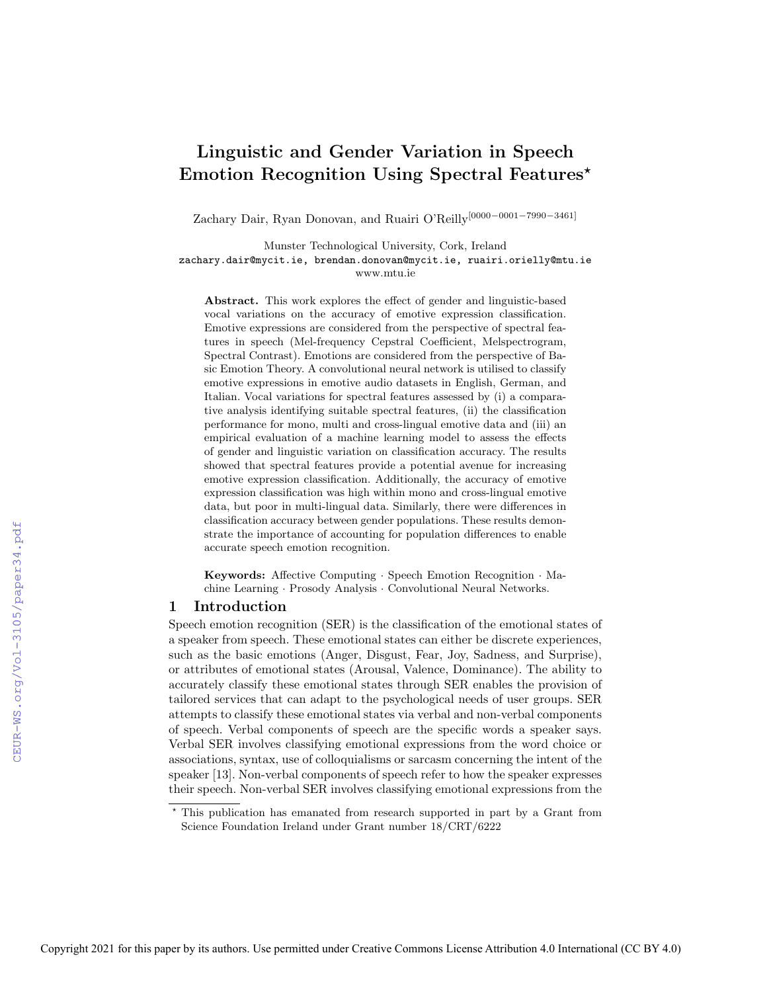# Linguistic and Gender Variation in Speech Emotion Recognition Using Spectral Features*?*

Zachary Dair, Ryan Donovan, and Ruairi O'Reilly[0000−0001−7990−3461]

Munster Technological University, Cork, Ireland zachary.dair@mycit.ie, brendan.donovan@mycit.ie, ruairi.orielly@mtu.ie www.mtu.ie

Abstract. This work explores the effect of gender and linguistic-based vocal variations on the accuracy of emotive expression classification. Emotive expressions are considered from the perspective of spectral features in speech (Mel-frequency Cepstral Coefficient, Melspectrogram, Spectral Contrast). Emotions are considered from the perspective of Basic Emotion Theory. A convolutional neural network is utilised to classify emotive expressions in emotive audio datasets in English, German, and Italian. Vocal variations for spectral features assessed by (i) a comparative analysis identifying suitable spectral features, (ii) the classification performance for mono, multi and cross-lingual emotive data and (iii) an empirical evaluation of a machine learning model to assess the effects of gender and linguistic variation on classification accuracy. The results showed that spectral features provide a potential avenue for increasing emotive expression classification. Additionally, the accuracy of emotive expression classification was high within mono and cross-lingual emotive data, but poor in multi-lingual data. Similarly, there were differences in classification accuracy between gender populations. These results demonstrate the importance of accounting for population differences to enable accurate speech emotion recognition.

Keywords: Affective Computing · Speech Emotion Recognition · Machine Learning · Prosody Analysis · Convolutional Neural Networks.

## 1 Introduction

Speech emotion recognition (SER) is the classification of the emotional states of a speaker from speech. These emotional states can either be discrete experiences, such as the basic emotions (Anger, Disgust, Fear, Joy, Sadness, and Surprise), or attributes of emotional states (Arousal, Valence, Dominance). The ability to accurately classify these emotional states through SER enables the provision of tailored services that can adapt to the psychological needs of user groups. SER attempts to classify these emotional states via verbal and non-verbal components of speech. Verbal components of speech are the specific words a speaker says. Verbal SER involves classifying emotional expressions from the word choice or associations, syntax, use of colloquialisms or sarcasm concerning the intent of the speaker [13]. Non-verbal components of speech refer to how the speaker expresses their speech. Non-verbal SER involves classifying emotional expressions from the

*<sup>?</sup>* This publication has emanated from research supported in part by a Grant from Science Foundation Ireland under Grant number 18/CRT/6222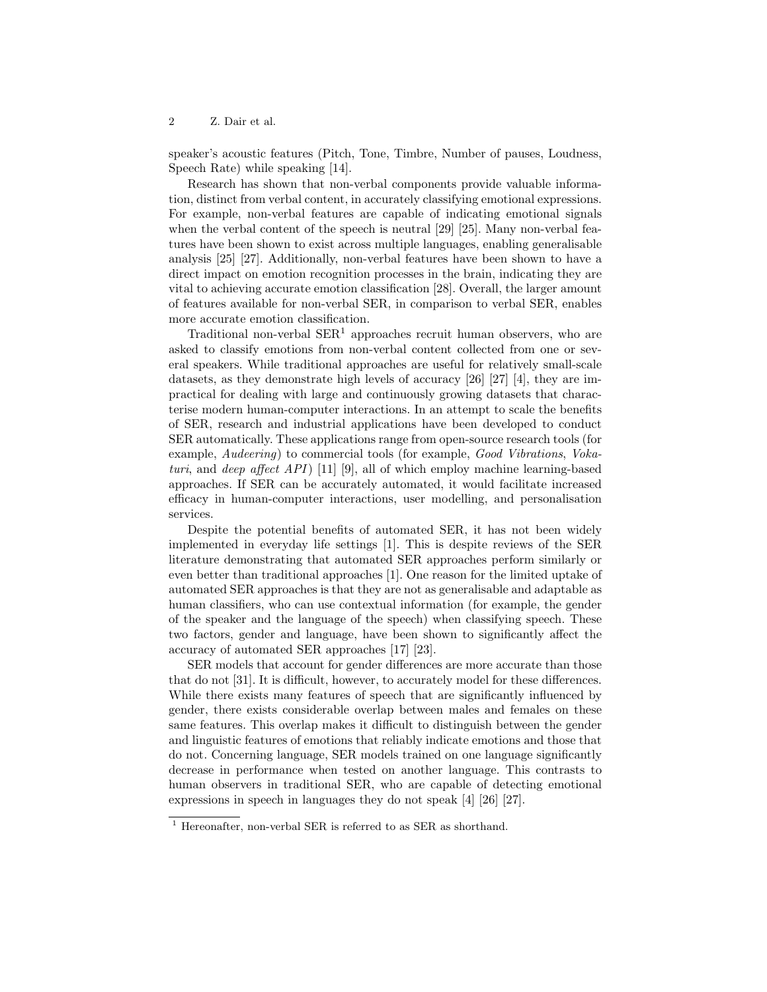speaker's acoustic features (Pitch, Tone, Timbre, Number of pauses, Loudness, Speech Rate) while speaking [14].

Research has shown that non-verbal components provide valuable information, distinct from verbal content, in accurately classifying emotional expressions. For example, non-verbal features are capable of indicating emotional signals when the verbal content of the speech is neutral [29] [25]. Many non-verbal features have been shown to exist across multiple languages, enabling generalisable analysis [25] [27]. Additionally, non-verbal features have been shown to have a direct impact on emotion recognition processes in the brain, indicating they are vital to achieving accurate emotion classification [28]. Overall, the larger amount of features available for non-verbal SER, in comparison to verbal SER, enables more accurate emotion classification.

Traditional non-verbal  $\text{SER}^1$  approaches recruit human observers, who are asked to classify emotions from non-verbal content collected from one or several speakers. While traditional approaches are useful for relatively small-scale datasets, as they demonstrate high levels of accuracy [26] [27] [4], they are impractical for dealing with large and continuously growing datasets that characterise modern human-computer interactions. In an attempt to scale the benefits of SER, research and industrial applications have been developed to conduct SER automatically. These applications range from open-source research tools (for example, Audeering) to commercial tools (for example, Good Vibrations, Vokaturi, and deep affect  $API$  [11] [9], all of which employ machine learning-based approaches. If SER can be accurately automated, it would facilitate increased efficacy in human-computer interactions, user modelling, and personalisation services.

Despite the potential benefits of automated SER, it has not been widely implemented in everyday life settings [1]. This is despite reviews of the SER literature demonstrating that automated SER approaches perform similarly or even better than traditional approaches [1]. One reason for the limited uptake of automated SER approaches is that they are not as generalisable and adaptable as human classifiers, who can use contextual information (for example, the gender of the speaker and the language of the speech) when classifying speech. These two factors, gender and language, have been shown to significantly affect the accuracy of automated SER approaches [17] [23].

SER models that account for gender differences are more accurate than those that do not [31]. It is difficult, however, to accurately model for these differences. While there exists many features of speech that are significantly influenced by gender, there exists considerable overlap between males and females on these same features. This overlap makes it difficult to distinguish between the gender and linguistic features of emotions that reliably indicate emotions and those that do not. Concerning language, SER models trained on one language significantly decrease in performance when tested on another language. This contrasts to human observers in traditional SER, who are capable of detecting emotional expressions in speech in languages they do not speak [4] [26] [27].

 $1$  Hereonafter, non-verbal SER is referred to as SER as shorthand.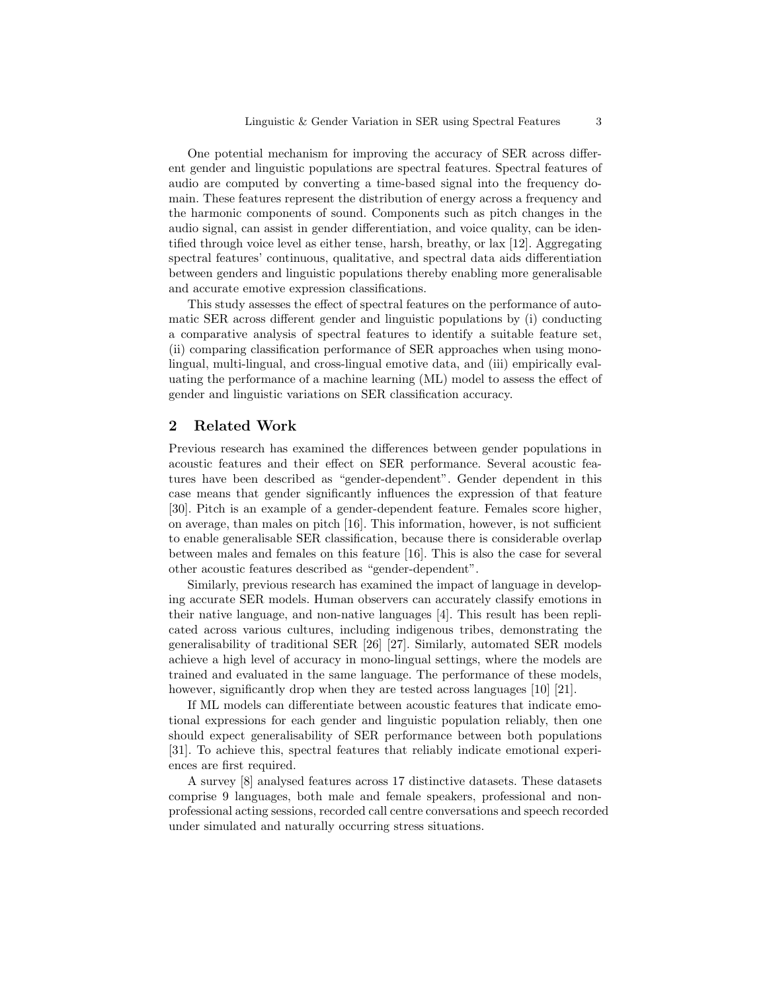One potential mechanism for improving the accuracy of SER across different gender and linguistic populations are spectral features. Spectral features of audio are computed by converting a time-based signal into the frequency domain. These features represent the distribution of energy across a frequency and the harmonic components of sound. Components such as pitch changes in the audio signal, can assist in gender differentiation, and voice quality, can be identified through voice level as either tense, harsh, breathy, or lax [12]. Aggregating spectral features' continuous, qualitative, and spectral data aids differentiation between genders and linguistic populations thereby enabling more generalisable and accurate emotive expression classifications.

This study assesses the effect of spectral features on the performance of automatic SER across different gender and linguistic populations by (i) conducting a comparative analysis of spectral features to identify a suitable feature set, (ii) comparing classification performance of SER approaches when using monolingual, multi-lingual, and cross-lingual emotive data, and (iii) empirically evaluating the performance of a machine learning (ML) model to assess the effect of gender and linguistic variations on SER classification accuracy.

## 2 Related Work

Previous research has examined the differences between gender populations in acoustic features and their effect on SER performance. Several acoustic features have been described as "gender-dependent". Gender dependent in this case means that gender significantly influences the expression of that feature [30]. Pitch is an example of a gender-dependent feature. Females score higher, on average, than males on pitch [16]. This information, however, is not sufficient to enable generalisable SER classification, because there is considerable overlap between males and females on this feature [16]. This is also the case for several other acoustic features described as "gender-dependent".

Similarly, previous research has examined the impact of language in developing accurate SER models. Human observers can accurately classify emotions in their native language, and non-native languages [4]. This result has been replicated across various cultures, including indigenous tribes, demonstrating the generalisability of traditional SER [26] [27]. Similarly, automated SER models achieve a high level of accuracy in mono-lingual settings, where the models are trained and evaluated in the same language. The performance of these models, however, significantly drop when they are tested across languages [10] [21].

If ML models can differentiate between acoustic features that indicate emotional expressions for each gender and linguistic population reliably, then one should expect generalisability of SER performance between both populations [31]. To achieve this, spectral features that reliably indicate emotional experiences are first required.

A survey [8] analysed features across 17 distinctive datasets. These datasets comprise 9 languages, both male and female speakers, professional and nonprofessional acting sessions, recorded call centre conversations and speech recorded under simulated and naturally occurring stress situations.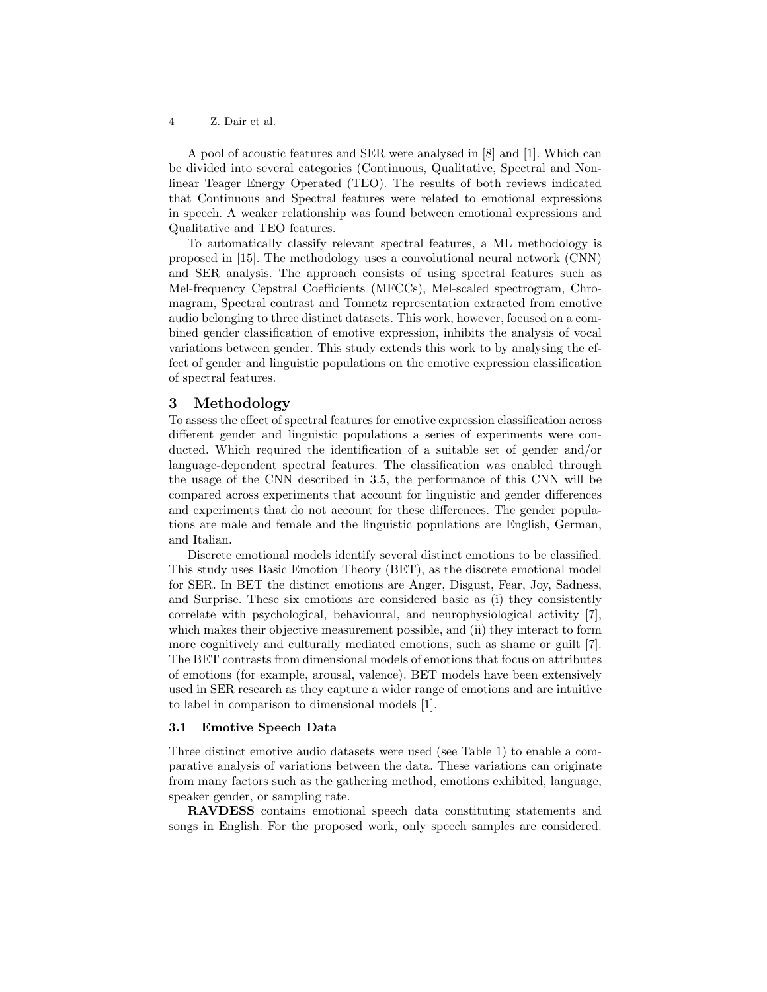A pool of acoustic features and SER were analysed in [8] and [1]. Which can be divided into several categories (Continuous, Qualitative, Spectral and Nonlinear Teager Energy Operated (TEO). The results of both reviews indicated that Continuous and Spectral features were related to emotional expressions in speech. A weaker relationship was found between emotional expressions and Qualitative and TEO features.

To automatically classify relevant spectral features, a ML methodology is proposed in [15]. The methodology uses a convolutional neural network (CNN) and SER analysis. The approach consists of using spectral features such as Mel-frequency Cepstral Coefficients (MFCCs), Mel-scaled spectrogram, Chromagram, Spectral contrast and Tonnetz representation extracted from emotive audio belonging to three distinct datasets. This work, however, focused on a combined gender classification of emotive expression, inhibits the analysis of vocal variations between gender. This study extends this work to by analysing the effect of gender and linguistic populations on the emotive expression classification of spectral features.

## 3 Methodology

To assess the effect of spectral features for emotive expression classification across different gender and linguistic populations a series of experiments were conducted. Which required the identification of a suitable set of gender and/or language-dependent spectral features. The classification was enabled through the usage of the CNN described in 3.5, the performance of this CNN will be compared across experiments that account for linguistic and gender differences and experiments that do not account for these differences. The gender populations are male and female and the linguistic populations are English, German, and Italian.

Discrete emotional models identify several distinct emotions to be classified. This study uses Basic Emotion Theory (BET), as the discrete emotional model for SER. In BET the distinct emotions are Anger, Disgust, Fear, Joy, Sadness, and Surprise. These six emotions are considered basic as (i) they consistently correlate with psychological, behavioural, and neurophysiological activity [7], which makes their objective measurement possible, and (ii) they interact to form more cognitively and culturally mediated emotions, such as shame or guilt [7]. The BET contrasts from dimensional models of emotions that focus on attributes of emotions (for example, arousal, valence). BET models have been extensively used in SER research as they capture a wider range of emotions and are intuitive to label in comparison to dimensional models [1].

#### 3.1 Emotive Speech Data

Three distinct emotive audio datasets were used (see Table 1) to enable a comparative analysis of variations between the data. These variations can originate from many factors such as the gathering method, emotions exhibited, language, speaker gender, or sampling rate.

RAVDESS contains emotional speech data constituting statements and songs in English. For the proposed work, only speech samples are considered.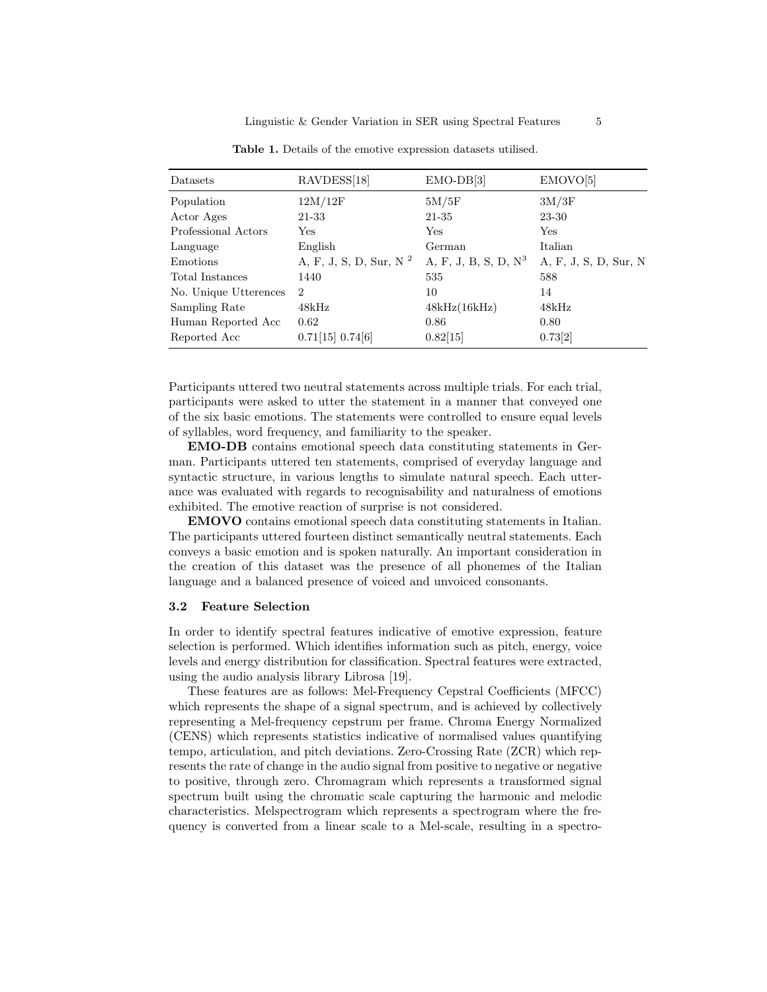| Datasets              | RAVDESS[18]                        | $EMO-DB[3]$             | EMOVO[5]              |
|-----------------------|------------------------------------|-------------------------|-----------------------|
| Population            | 12M/12F                            | 5M/5F                   | 3M/3F                 |
| Actor Ages            | 21-33                              | 21-35                   | 23-30                 |
| Professional Actors   | Yes                                | Yes                     | Yes                   |
| Language              | English                            | German                  | Italian               |
| Emotions              | A, F, J, S, D, Sur, N <sup>2</sup> | A, F, J, B, S, D, $N^3$ | A, F, J, S, D, Sur, N |
| Total Instances       | 1440                               | 535                     | 588                   |
| No. Unique Utterences | $\overline{2}$                     | 10                      | 14                    |
| Sampling Rate         | 48kHz                              | 48kHz(16kHz)            | 48kHz                 |
| Human Reported Acc    | 0.62                               | 0.86                    | 0.80                  |
| Reported Acc          | 0.71[15] 0.74[6]                   | 0.82[15]                | 0.73[2]               |

Table 1. Details of the emotive expression datasets utilised.

Participants uttered two neutral statements across multiple trials. For each trial, participants were asked to utter the statement in a manner that conveyed one of the six basic emotions. The statements were controlled to ensure equal levels of syllables, word frequency, and familiarity to the speaker.

EMO-DB contains emotional speech data constituting statements in German. Participants uttered ten statements, comprised of everyday language and syntactic structure, in various lengths to simulate natural speech. Each utterance was evaluated with regards to recognisability and naturalness of emotions exhibited. The emotive reaction of surprise is not considered.

EMOVO contains emotional speech data constituting statements in Italian. The participants uttered fourteen distinct semantically neutral statements. Each conveys a basic emotion and is spoken naturally. An important consideration in the creation of this dataset was the presence of all phonemes of the Italian language and a balanced presence of voiced and unvoiced consonants.

#### 3.2 Feature Selection

In order to identify spectral features indicative of emotive expression, feature selection is performed. Which identifies information such as pitch, energy, voice levels and energy distribution for classification. Spectral features were extracted, using the audio analysis library Librosa [19].

These features are as follows: Mel-Frequency Cepstral Coefficients (MFCC) which represents the shape of a signal spectrum, and is achieved by collectively representing a Mel-frequency cepstrum per frame. Chroma Energy Normalized (CENS) which represents statistics indicative of normalised values quantifying tempo, articulation, and pitch deviations. Zero-Crossing Rate (ZCR) which represents the rate of change in the audio signal from positive to negative or negative to positive, through zero. Chromagram which represents a transformed signal spectrum built using the chromatic scale capturing the harmonic and melodic characteristics. Melspectrogram which represents a spectrogram where the frequency is converted from a linear scale to a Mel-scale, resulting in a spectro-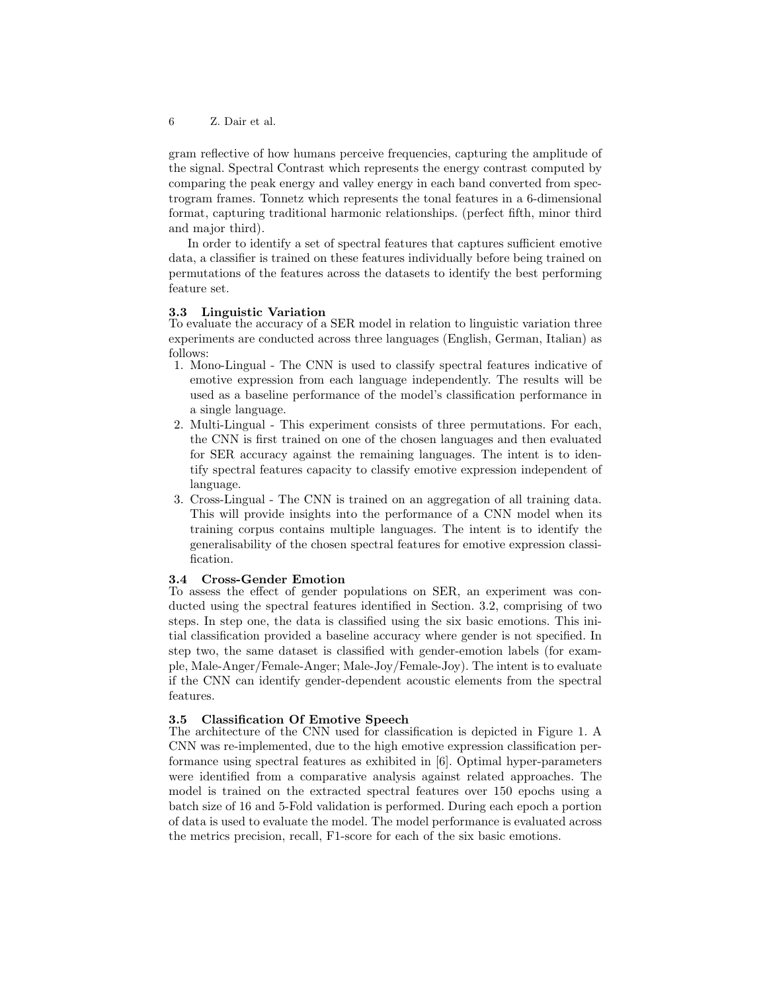gram reflective of how humans perceive frequencies, capturing the amplitude of the signal. Spectral Contrast which represents the energy contrast computed by comparing the peak energy and valley energy in each band converted from spectrogram frames. Tonnetz which represents the tonal features in a 6-dimensional format, capturing traditional harmonic relationships. (perfect fifth, minor third and major third).

In order to identify a set of spectral features that captures sufficient emotive data, a classifier is trained on these features individually before being trained on permutations of the features across the datasets to identify the best performing feature set.

#### 3.3 Linguistic Variation

To evaluate the accuracy of a SER model in relation to linguistic variation three experiments are conducted across three languages (English, German, Italian) as follows:

- 1. Mono-Lingual The CNN is used to classify spectral features indicative of emotive expression from each language independently. The results will be used as a baseline performance of the model's classification performance in a single language.
- 2. Multi-Lingual This experiment consists of three permutations. For each, the CNN is first trained on one of the chosen languages and then evaluated for SER accuracy against the remaining languages. The intent is to identify spectral features capacity to classify emotive expression independent of language.
- 3. Cross-Lingual The CNN is trained on an aggregation of all training data. This will provide insights into the performance of a CNN model when its training corpus contains multiple languages. The intent is to identify the generalisability of the chosen spectral features for emotive expression classification.

## 3.4 Cross-Gender Emotion

To assess the effect of gender populations on SER, an experiment was conducted using the spectral features identified in Section. 3.2, comprising of two steps. In step one, the data is classified using the six basic emotions. This initial classification provided a baseline accuracy where gender is not specified. In step two, the same dataset is classified with gender-emotion labels (for example, Male-Anger/Female-Anger; Male-Joy/Female-Joy). The intent is to evaluate if the CNN can identify gender-dependent acoustic elements from the spectral features.

## 3.5 Classification Of Emotive Speech

The architecture of the CNN used for classification is depicted in Figure 1. A CNN was re-implemented, due to the high emotive expression classification performance using spectral features as exhibited in [6]. Optimal hyper-parameters were identified from a comparative analysis against related approaches. The model is trained on the extracted spectral features over 150 epochs using a batch size of 16 and 5-Fold validation is performed. During each epoch a portion of data is used to evaluate the model. The model performance is evaluated across the metrics precision, recall, F1-score for each of the six basic emotions.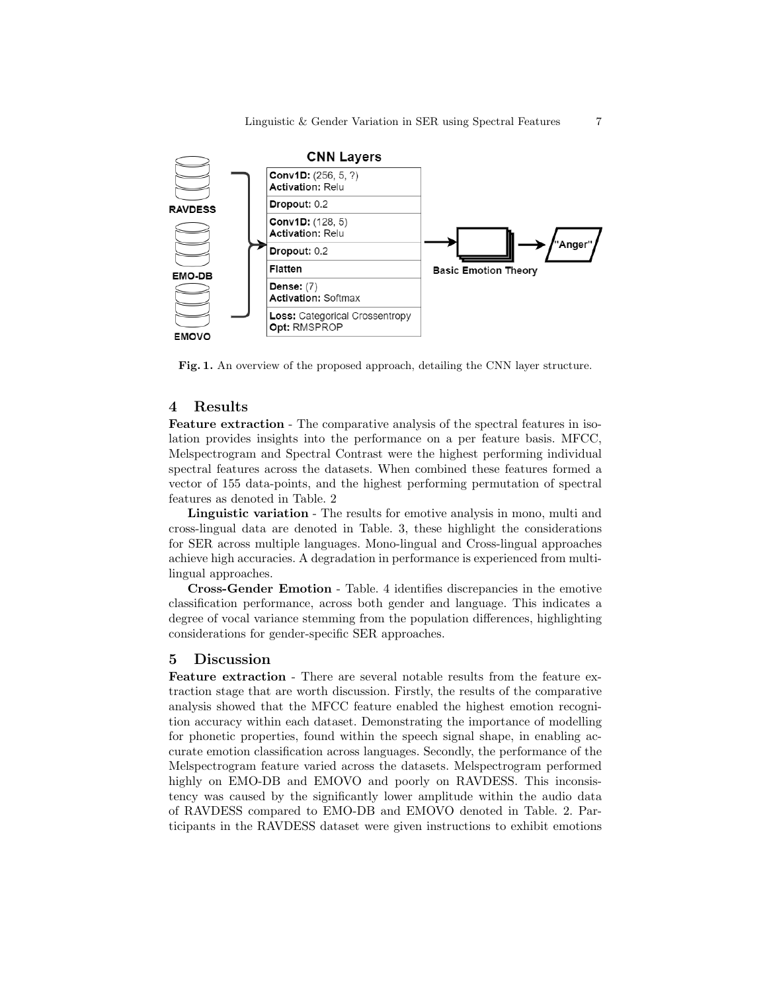

Fig. 1. An overview of the proposed approach, detailing the CNN layer structure.

## 4 Results

Feature extraction - The comparative analysis of the spectral features in isolation provides insights into the performance on a per feature basis. MFCC, Melspectrogram and Spectral Contrast were the highest performing individual spectral features across the datasets. When combined these features formed a vector of 155 data-points, and the highest performing permutation of spectral features as denoted in Table. 2

Linguistic variation - The results for emotive analysis in mono, multi and cross-lingual data are denoted in Table. 3, these highlight the considerations for SER across multiple languages. Mono-lingual and Cross-lingual approaches achieve high accuracies. A degradation in performance is experienced from multilingual approaches.

Cross-Gender Emotion - Table. 4 identifies discrepancies in the emotive classification performance, across both gender and language. This indicates a degree of vocal variance stemming from the population differences, highlighting considerations for gender-specific SER approaches.

## 5 Discussion

Feature extraction - There are several notable results from the feature extraction stage that are worth discussion. Firstly, the results of the comparative analysis showed that the MFCC feature enabled the highest emotion recognition accuracy within each dataset. Demonstrating the importance of modelling for phonetic properties, found within the speech signal shape, in enabling accurate emotion classification across languages. Secondly, the performance of the Melspectrogram feature varied across the datasets. Melspectrogram performed highly on EMO-DB and EMOVO and poorly on RAVDESS. This inconsistency was caused by the significantly lower amplitude within the audio data of RAVDESS compared to EMO-DB and EMOVO denoted in Table. 2. Participants in the RAVDESS dataset were given instructions to exhibit emotions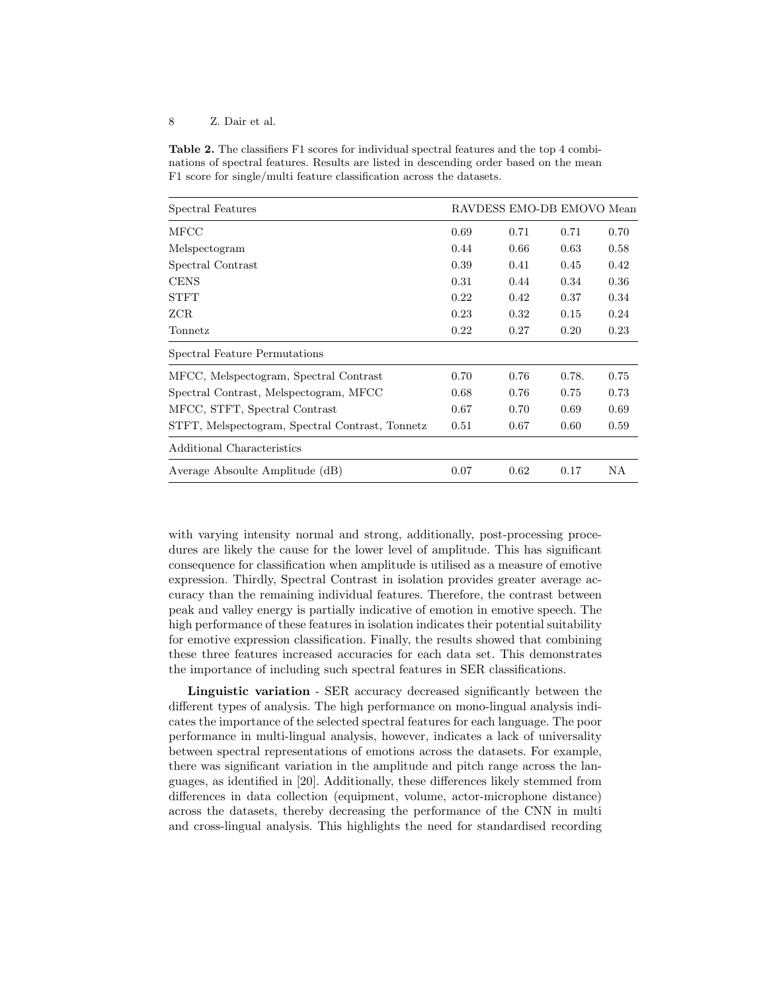Table 2. The classifiers F1 scores for individual spectral features and the top 4 combinations of spectral features. Results are listed in descending order based on the mean F1 score for single/multi feature classification across the datasets.

| Spectral Features                               | RAVDESS EMO-DB EMOVO Mean |      |       |      |
|-------------------------------------------------|---------------------------|------|-------|------|
| MFCC                                            | 0.69                      | 0.71 | 0.71  | 0.70 |
| Melspectogram                                   | 0.44                      | 0.66 | 0.63  | 0.58 |
| Spectral Contrast                               | 0.39                      | 0.41 | 0.45  | 0.42 |
| <b>CENS</b>                                     | 0.31                      | 0.44 | 0.34  | 0.36 |
| <b>STFT</b>                                     | 0.22                      | 0.42 | 0.37  | 0.34 |
| ZCR.                                            | 0.23                      | 0.32 | 0.15  | 0.24 |
| Tonnetz                                         | 0.22                      | 0.27 | 0.20  | 0.23 |
| Spectral Feature Permutations                   |                           |      |       |      |
| MFCC, Melspectogram, Spectral Contrast          | 0.70                      | 0.76 | 0.78. | 0.75 |
| Spectral Contrast, Melspectogram, MFCC          | 0.68                      | 0.76 | 0.75  | 0.73 |
| MFCC, STFT, Spectral Contrast                   | 0.67                      | 0.70 | 0.69  | 0.69 |
| STFT, Melspectogram, Spectral Contrast, Tonnetz | 0.51                      | 0.67 | 0.60  | 0.59 |
| Additional Characteristics                      |                           |      |       |      |
| Average Absoulte Amplitude (dB)                 | 0.07                      | 0.62 | 0.17  | ΝA   |

with varying intensity normal and strong, additionally, post-processing procedures are likely the cause for the lower level of amplitude. This has significant consequence for classification when amplitude is utilised as a measure of emotive expression. Thirdly, Spectral Contrast in isolation provides greater average accuracy than the remaining individual features. Therefore, the contrast between peak and valley energy is partially indicative of emotion in emotive speech. The high performance of these features in isolation indicates their potential suitability for emotive expression classification. Finally, the results showed that combining these three features increased accuracies for each data set. This demonstrates the importance of including such spectral features in SER classifications.

Linguistic variation - SER accuracy decreased significantly between the different types of analysis. The high performance on mono-lingual analysis indicates the importance of the selected spectral features for each language. The poor performance in multi-lingual analysis, however, indicates a lack of universality between spectral representations of emotions across the datasets. For example, there was significant variation in the amplitude and pitch range across the languages, as identified in [20]. Additionally, these differences likely stemmed from differences in data collection (equipment, volume, actor-microphone distance) across the datasets, thereby decreasing the performance of the CNN in multi and cross-lingual analysis. This highlights the need for standardised recording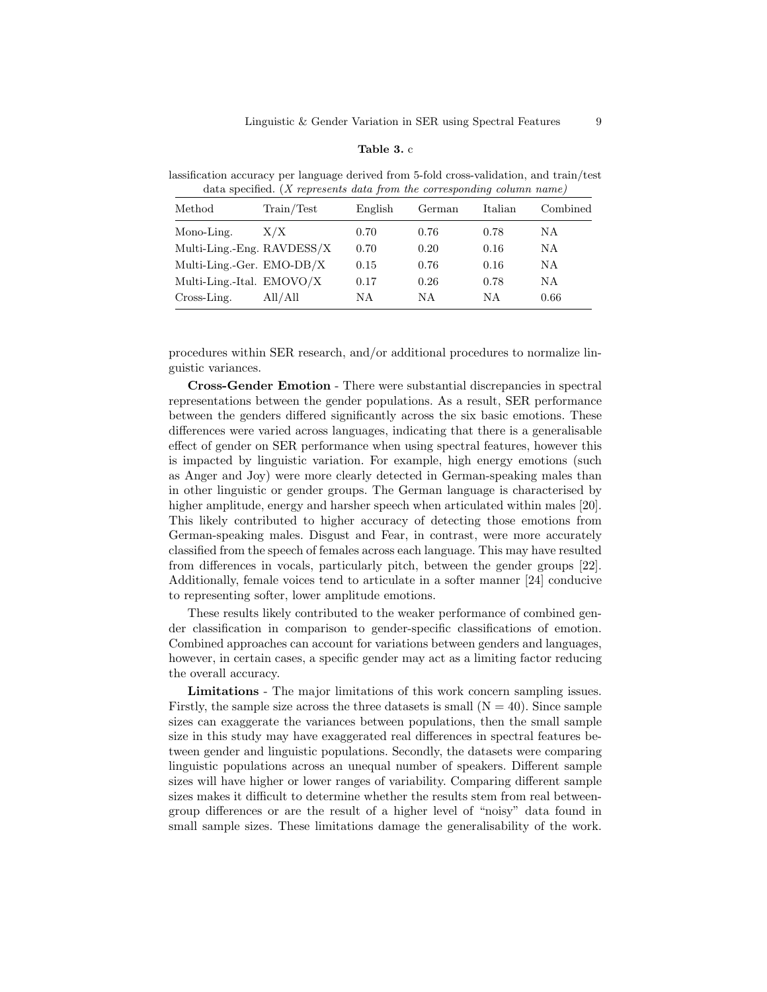#### Table 3. c

lassification accuracy per language derived from 5-fold cross-validation, and train/test data specified. (X represents data from the corresponding column name)

| Method                       | Train/Test | English | German | Italian | Combined |
|------------------------------|------------|---------|--------|---------|----------|
| Mono-Ling.                   | X/X        | 0.70    | 0.76   | 0.78    | ΝA       |
| Multi-Ling.-Eng. $RAVDESS/X$ |            | 0.70    | 0.20   | 0.16    | NΑ       |
| Multi-Ling.-Ger. $EMO-DB/X$  |            | 0.15    | 0.76   | 0.16    | N A      |
| Multi-Ling.-Ital. $EMOVO/X$  |            | 0.17    | 0.26   | 0.78    | NΑ       |
| Cross-Ling.                  | All/All    | NΑ      | ΝA     | ΝA      | 0.66     |

procedures within SER research, and/or additional procedures to normalize linguistic variances.

Cross-Gender Emotion - There were substantial discrepancies in spectral representations between the gender populations. As a result, SER performance between the genders differed significantly across the six basic emotions. These differences were varied across languages, indicating that there is a generalisable effect of gender on SER performance when using spectral features, however this is impacted by linguistic variation. For example, high energy emotions (such as Anger and Joy) were more clearly detected in German-speaking males than in other linguistic or gender groups. The German language is characterised by higher amplitude, energy and harsher speech when articulated within males [20]. This likely contributed to higher accuracy of detecting those emotions from German-speaking males. Disgust and Fear, in contrast, were more accurately classified from the speech of females across each language. This may have resulted from differences in vocals, particularly pitch, between the gender groups [22]. Additionally, female voices tend to articulate in a softer manner [24] conducive to representing softer, lower amplitude emotions.

These results likely contributed to the weaker performance of combined gender classification in comparison to gender-specific classifications of emotion. Combined approaches can account for variations between genders and languages, however, in certain cases, a specific gender may act as a limiting factor reducing the overall accuracy.

Limitations - The major limitations of this work concern sampling issues. Firstly, the sample size across the three datasets is small  $(N = 40)$ . Since sample sizes can exaggerate the variances between populations, then the small sample size in this study may have exaggerated real differences in spectral features between gender and linguistic populations. Secondly, the datasets were comparing linguistic populations across an unequal number of speakers. Different sample sizes will have higher or lower ranges of variability. Comparing different sample sizes makes it difficult to determine whether the results stem from real betweengroup differences or are the result of a higher level of "noisy" data found in small sample sizes. These limitations damage the generalisability of the work.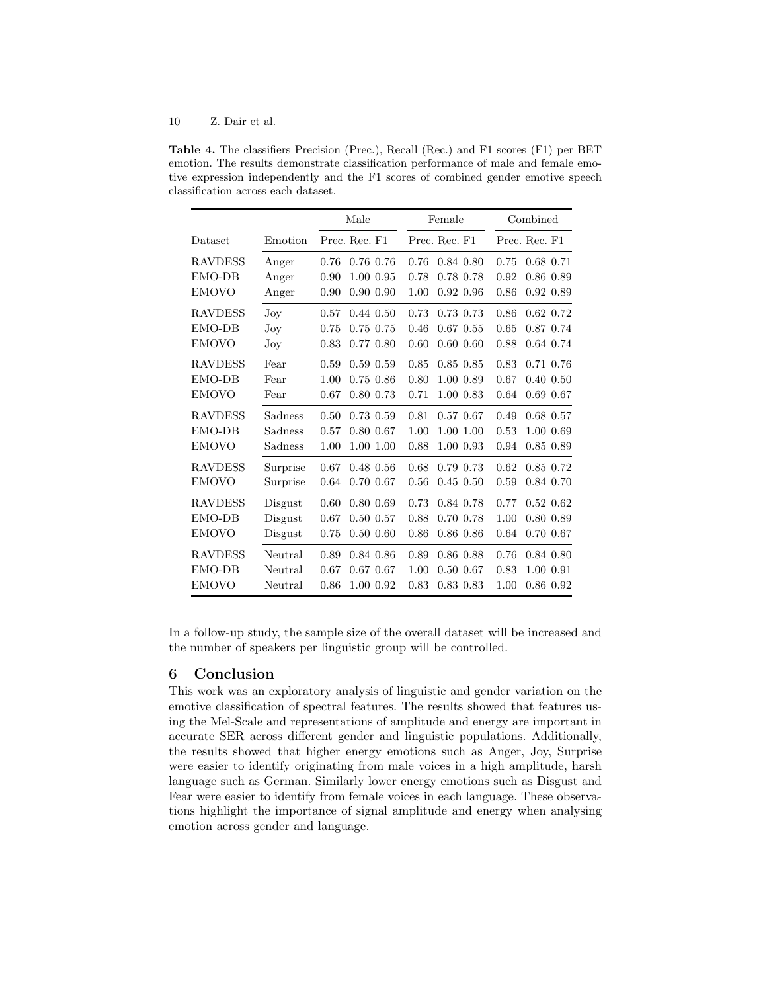Table 4. The classifiers Precision (Prec.), Recall (Rec.) and F1 scores (F1) per BET emotion. The results demonstrate classification performance of male and female emotive expression independently and the F1 scores of combined gender emotive speech classification across each dataset.

|                |              | Male |               | Female        |               | Combined  |               |               |  |
|----------------|--------------|------|---------------|---------------|---------------|-----------|---------------|---------------|--|
| Dataset        | Emotion      |      | Prec. Rec. F1 | Prec. Rec. F1 |               |           | Prec. Rec. F1 |               |  |
| <b>RAVDESS</b> | Anger        | 0.76 | 0.76 0.76     | 0.76          | 0.84 0.80     |           | 0.75          | 0.68 0.71     |  |
| EMO-DB         | Anger        | 0.90 | 1.00 0.95     | 0.78          | 0.78 0.78     |           | 0.92          | 0.86 0.89     |  |
| <b>EMOVO</b>   | Anger        | 0.90 | 0.90 0.90     | 1.00          | 0.92 0.96     |           | 0.86          | 0.92 0.89     |  |
| <b>RAVDESS</b> | $_{\rm Joy}$ | 0.57 | $0.44$ $0.50$ | 0.73          | 0.73 0.73     |           | 0.86          | $0.62$ $0.72$ |  |
| EMO-DB         | Joy          | 0.75 | 0.75 0.75     | 0.46          | $0.67$ $0.55$ |           | 0.65          | 0.87 0.74     |  |
| <b>EMOVO</b>   | Joy          | 0.83 | 0.77 0.80     | 0.60          | $0.60$ $0.60$ |           | 0.88          | 0.64 0.74     |  |
| <b>RAVDESS</b> | Fear         | 0.59 | 0.59 0.59     | 0.85          | $0.85$ $0.85$ |           | 0.83          | 0.71 0.76     |  |
| EMO-DB         | Fear         | 1.00 | 0.75 0.86     | 0.80          | 1.00 0.89     |           | 0.67          | $0.40$ $0.50$ |  |
| <b>EMOVO</b>   | Fear         | 0.67 | 0.80 0.73     | 0.71          |               | 1.00 0.83 | 0.64          | 0.69 0.67     |  |
| <b>RAVDESS</b> | Sadness      | 0.50 | 0.73 0.59     | 0.81          | 0.57 0.67     |           | 0.49          | 0.68 0.57     |  |
| EMO-DB         | Sadness      | 0.57 | 0.80 0.67     | 1.00          | 1.00 1.00     |           | 0.53          | 1.00 0.69     |  |
| <b>EMOVO</b>   | Sadness      | 1.00 | 1.00 1.00     | 0.88          | 1.00 0.93     |           | 0.94          | $0.85$ $0.89$ |  |
| <b>RAVDESS</b> | Surprise     | 0.67 | $0.48$ $0.56$ | 0.68          | 0.79 0.73     |           | 0.62          | 0.85 0.72     |  |
| <b>EMOVO</b>   | Surprise     | 0.64 | 0.70 0.67     | 0.56          | $0.45$ $0.50$ |           | 0.59          | 0.84 0.70     |  |
| <b>RAVDESS</b> | Disgust      | 0.60 | 0.80 0.69     | 0.73          | 0.84 0.78     |           | 0.77          | $0.52\ 0.62$  |  |
| EMO-DB         | Disgust      | 0.67 | 0.50 0.57     | 0.88          | 0.70 0.78     |           | 1.00          | 0.80 0.89     |  |
| <b>EMOVO</b>   | Disgust      | 0.75 | $0.50$ $0.60$ | 0.86          | $0.86$ $0.86$ |           | 0.64          | 0.70 0.67     |  |
| <b>RAVDESS</b> | Neutral      | 0.89 | 0.84 0.86     | 0.89          | 0.86 0.88     |           | 0.76          | 0.84 0.80     |  |
| EMO-DB         | Neutral      | 0.67 | 0.67 0.67     | 1.00          | 0.50 0.67     |           | 0.83          | 1.00 0.91     |  |
| <b>EMOVO</b>   | Neutral      | 0.86 | 1.00 0.92     | 0.83          | 0.83 0.83     |           | 1.00          | 0.86 0.92     |  |

In a follow-up study, the sample size of the overall dataset will be increased and the number of speakers per linguistic group will be controlled.

# 6 Conclusion

This work was an exploratory analysis of linguistic and gender variation on the emotive classification of spectral features. The results showed that features using the Mel-Scale and representations of amplitude and energy are important in accurate SER across different gender and linguistic populations. Additionally, the results showed that higher energy emotions such as Anger, Joy, Surprise were easier to identify originating from male voices in a high amplitude, harsh language such as German. Similarly lower energy emotions such as Disgust and Fear were easier to identify from female voices in each language. These observations highlight the importance of signal amplitude and energy when analysing emotion across gender and language.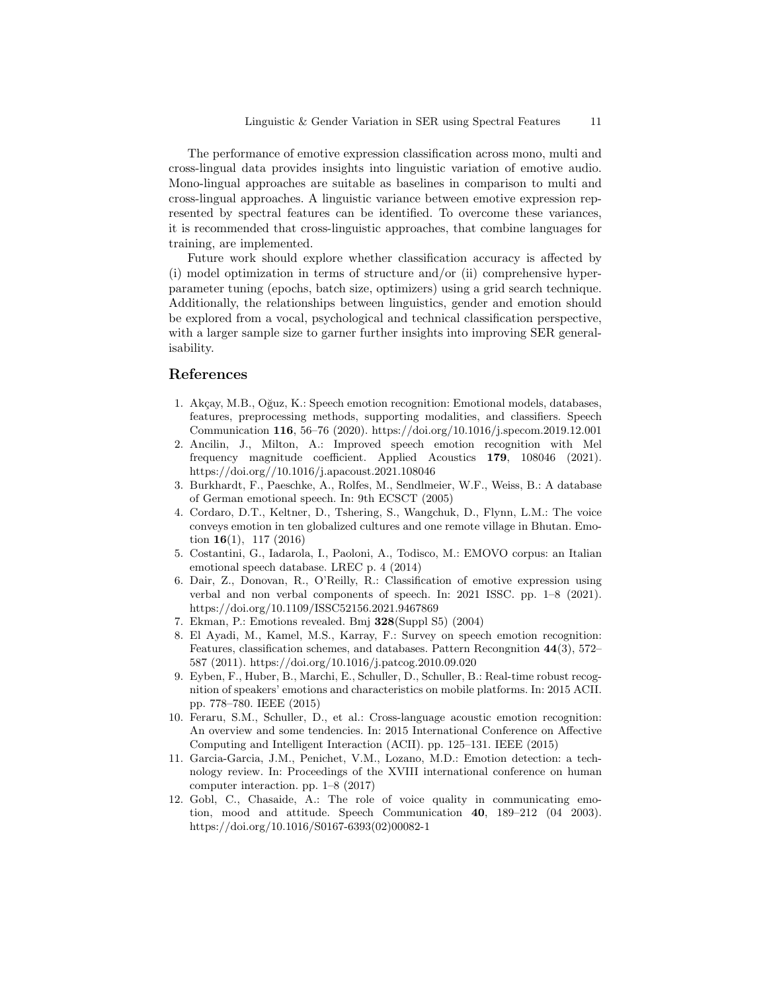The performance of emotive expression classification across mono, multi and cross-lingual data provides insights into linguistic variation of emotive audio. Mono-lingual approaches are suitable as baselines in comparison to multi and cross-lingual approaches. A linguistic variance between emotive expression represented by spectral features can be identified. To overcome these variances, it is recommended that cross-linguistic approaches, that combine languages for training, are implemented.

Future work should explore whether classification accuracy is affected by (i) model optimization in terms of structure and/or (ii) comprehensive hyperparameter tuning (epochs, batch size, optimizers) using a grid search technique. Additionally, the relationships between linguistics, gender and emotion should be explored from a vocal, psychological and technical classification perspective, with a larger sample size to garner further insights into improving SER generalisability.

#### References

- 1. Akçay, M.B., Oğuz, K.: Speech emotion recognition: Emotional models, databases, features, preprocessing methods, supporting modalities, and classifiers. Speech Communication 116, 56–76 (2020). https://doi.org/10.1016/j.specom.2019.12.001
- 2. Ancilin, J., Milton, A.: Improved speech emotion recognition with Mel frequency magnitude coefficient. Applied Acoustics 179, 108046 (2021). https://doi.org//10.1016/j.apacoust.2021.108046
- 3. Burkhardt, F., Paeschke, A., Rolfes, M., Sendlmeier, W.F., Weiss, B.: A database of German emotional speech. In: 9th ECSCT (2005)
- 4. Cordaro, D.T., Keltner, D., Tshering, S., Wangchuk, D., Flynn, L.M.: The voice conveys emotion in ten globalized cultures and one remote village in Bhutan. Emotion  $16(1)$ , 117 (2016)
- 5. Costantini, G., Iadarola, I., Paoloni, A., Todisco, M.: EMOVO corpus: an Italian emotional speech database. LREC p. 4 (2014)
- 6. Dair, Z., Donovan, R., O'Reilly, R.: Classification of emotive expression using verbal and non verbal components of speech. In: 2021 ISSC. pp. 1–8 (2021). https://doi.org/10.1109/ISSC52156.2021.9467869
- 7. Ekman, P.: Emotions revealed. Bmj 328(Suppl S5) (2004)
- 8. El Ayadi, M., Kamel, M.S., Karray, F.: Survey on speech emotion recognition: Features, classification schemes, and databases. Pattern Recongnition 44(3), 572– 587 (2011). https://doi.org/10.1016/j.patcog.2010.09.020
- 9. Eyben, F., Huber, B., Marchi, E., Schuller, D., Schuller, B.: Real-time robust recognition of speakers' emotions and characteristics on mobile platforms. In: 2015 ACII. pp. 778–780. IEEE (2015)
- 10. Feraru, S.M., Schuller, D., et al.: Cross-language acoustic emotion recognition: An overview and some tendencies. In: 2015 International Conference on Affective Computing and Intelligent Interaction (ACII). pp. 125–131. IEEE (2015)
- 11. Garcia-Garcia, J.M., Penichet, V.M., Lozano, M.D.: Emotion detection: a technology review. In: Proceedings of the XVIII international conference on human computer interaction. pp. 1–8 (2017)
- 12. Gobl, C., Chasaide, A.: The role of voice quality in communicating emotion, mood and attitude. Speech Communication 40, 189–212 (04 2003). https://doi.org/10.1016/S0167-6393(02)00082-1